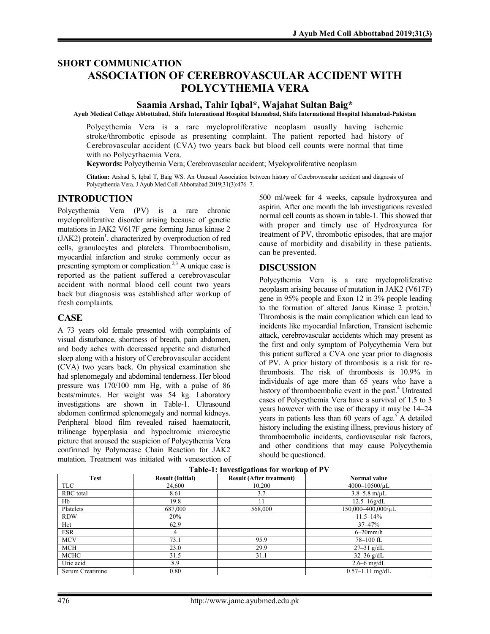# **SHORT COMMUNICATION ASSOCIATION OF CEREBROVASCULAR ACCIDENT WITH POLYCYTHEMIA VERA**

## **Saamia Arshad, Tahir Iqbal\*, Wajahat Sultan Baig\***

**Ayub Medical College Abbottabad, Shifa International Hospital Islamabad, Shifa International Hospital Islamabad-Pakistan**

Polycythemia Vera is a rare myeloproliferative neoplasm usually having ischemic stroke/thrombotic episode as presenting complaint. The patient reported had history of Cerebrovascular accident (CVA) two years back but blood cell counts were normal that time with no Polycythaemia Vera.

**Keywords:** Polycythemia Vera; Cerebrovascular accident; Myeloproliferative neoplasm

**Citation:** Arshad S, Iqbal T, Baig WS. An Unusual Association between history of Cerebrovascular accident and diagnosis of Polycythemia Vera. J Ayub Med Coll Abbottabad 2019;31(3):476–7.

#### **INTRODUCTION**

Polycythemia Vera (PV) is a rare chronic myeloproliferative disorder arising because of genetic mutations in JAK2 V617F gene forming Janus kinase 2 (JAK2) protein<sup>1</sup>, characterized by overproduction of red cells, granulocytes and platelets. Thromboembolism, myocardial infarction and stroke commonly occur as presenting symptom or complication.<sup>2,3</sup> A unique case is reported as the patient suffered a cerebrovascular accident with normal blood cell count two years back but diagnosis was established after workup of fresh complaints.

#### **CASE**

A 73 years old female presented with complaints of visual disturbance, shortness of breath, pain abdomen, and body aches with decreased appetite and disturbed sleep along with a history of Cerebrovascular accident (CVA) two years back. On physical examination she had splenomegaly and abdominal tenderness. Her blood pressure was 170/100 mm Hg, with a pulse of 86 beats/minutes. Her weight was 54 kg. Laboratory investigations are shown in Table-1. Ultrasound abdomen confirmed splenomegaly and normal kidneys. Peripheral blood film revealed raised haematocrit, trilineage hyperplasia and hypochromic microcytic picture that aroused the suspicion of Polycythemia Vera confirmed by Polymerase Chain Reaction for JAK2 mutation. Treatment was initiated with venesection of

500 ml/week for 4 weeks, capsule hydroxyurea and aspirin. After one month the lab investigations revealed normal cell counts as shown in table-1. This showed that with proper and timely use of Hydroxyurea for treatment of PV, thrombotic episodes, that are major cause of morbidity and disability in these patients, can be prevented.

#### **DISCUSSION**

Polycythemia Vera is a rare myeloproliferative neoplasm arising because of mutation in JAK2 (V617F) gene in 95% people and Exon 12 in 3% people leading to the formation of altered Janus Kinase 2 protein.<sup>1</sup> Thrombosis is the main complication which can lead to incidents like myocardial Infarction, Transient ischemic attack, cerebrovascular accidents which may present as the first and only symptom of Polycythemia Vera but this patient suffered a CVA one year prior to diagnosis of PV. A prior history of thrombosis is a risk for rethrombosis. The risk of thrombosis is 10.9% in individuals of age more than 65 years who have a history of thromboembolic event in the past.<sup>4</sup> Untreated cases of Polycythemia Vera have a survival of 1.5 to 3 years however with the use of therapy it may be 14–24 years in patients less than 60 years of age.<sup>5</sup> A detailed history including the existing illness, previous history of thromboembolic incidents, cardiovascular risk factors, and other conditions that may cause Polycythemia should be questioned.

| <b>Test</b>      | <b>Result (Initial)</b> | $\epsilon$<br><b>Result (After treatment)</b> | Normal value           |
|------------------|-------------------------|-----------------------------------------------|------------------------|
| <b>TLC</b>       | 24,600                  | 10,200                                        | $4000 - 10500/\mu L$   |
| <b>RBC</b> total | 8.61                    | 3.7                                           | $3.8 - 5.8$ m/ $\mu$ L |
| Hb               | 19.8                    | 11                                            | $12.5 - 16g/dL$        |
| Platelets        | 687,000                 | 568,000                                       | 150,000-400,000/µL     |
| <b>RDW</b>       | 20%                     |                                               | $11.5 - 14\%$          |
| Hct              | 62.9                    |                                               | $37 - 47%$             |
| <b>ESR</b>       | 4                       |                                               | $6-20$ mm/h            |
| <b>MCV</b>       | 73.1                    | 95.9                                          | 78-100 fL              |
| MCH              | 23.0                    | 29.9                                          | $27 - 31$ g/dL         |
| <b>MCHC</b>      | 31.5                    | 31.1                                          | $32 - 36$ g/dL         |
| Uric acid        | 8.9                     |                                               | $2.6 - 6$ mg/dL        |
| Serum Creatinine | 0.80                    |                                               | $0.57 - 1.11$ mg/dL    |

#### **Table-1: Investigations for workup of PV**